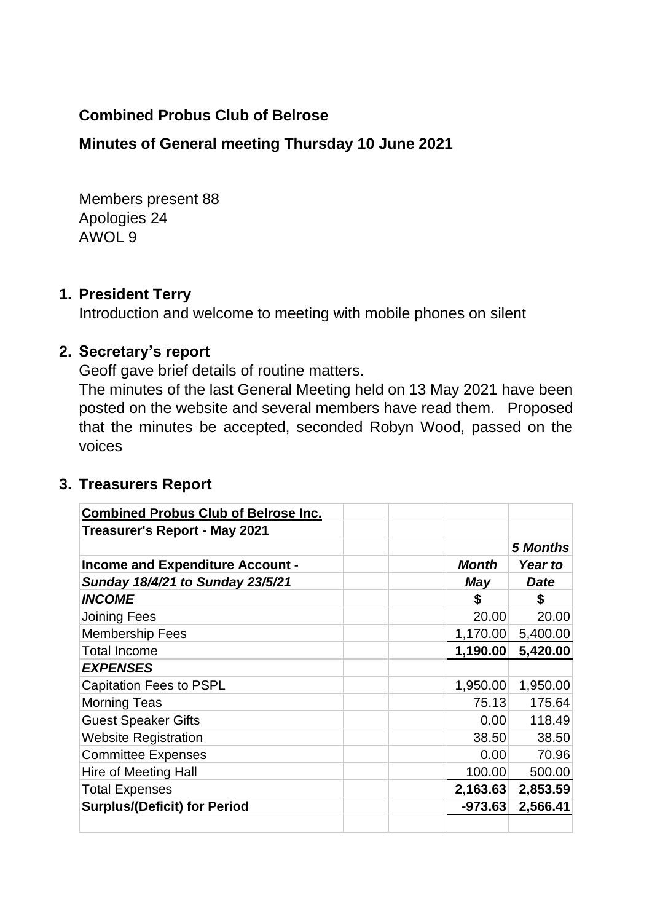### **Combined Probus Club of Belrose**

### **Minutes of General meeting Thursday 10 June 2021**

Members present 88 Apologies 24 AWOL 9

#### **1. President Terry**

Introduction and welcome to meeting with mobile phones on silent

### **2. Secretary's report**

Geoff gave brief details of routine matters.

The minutes of the last General Meeting held on 13 May 2021 have been posted on the website and several members have read them. Proposed that the minutes be accepted, seconded Robyn Wood, passed on the voices

### **3. Treasurers Report**

| <b>Combined Probus Club of Belrose Inc.</b> |              |                 |
|---------------------------------------------|--------------|-----------------|
| Treasurer's Report - May 2021               |              |                 |
|                                             |              | <b>5 Months</b> |
| Income and Expenditure Account -            | <b>Month</b> | Year to         |
| Sunday 18/4/21 to Sunday 23/5/21            | May          | <b>Date</b>     |
| <b>INCOME</b>                               | S            | \$              |
| <b>Joining Fees</b>                         | 20.00        | 20.00           |
| <b>Membership Fees</b>                      | 1,170.00     | 5,400.00        |
| <b>Total Income</b>                         | 1,190.00     | 5,420.00        |
| <b>EXPENSES</b>                             |              |                 |
| <b>Capitation Fees to PSPL</b>              | 1,950.00     | 1,950.00        |
| <b>Morning Teas</b>                         | 75.13        | 175.64          |
| <b>Guest Speaker Gifts</b>                  | 0.00         | 118.49          |
| <b>Website Registration</b>                 | 38.50        | 38.50           |
| <b>Committee Expenses</b>                   | 0.00         | 70.96           |
| Hire of Meeting Hall                        | 100.00       | 500.00          |
| <b>Total Expenses</b>                       | 2,163.63     | 2,853.59        |
| <b>Surplus/(Deficit) for Period</b>         | $-973.63$    | 2,566.41        |
|                                             |              |                 |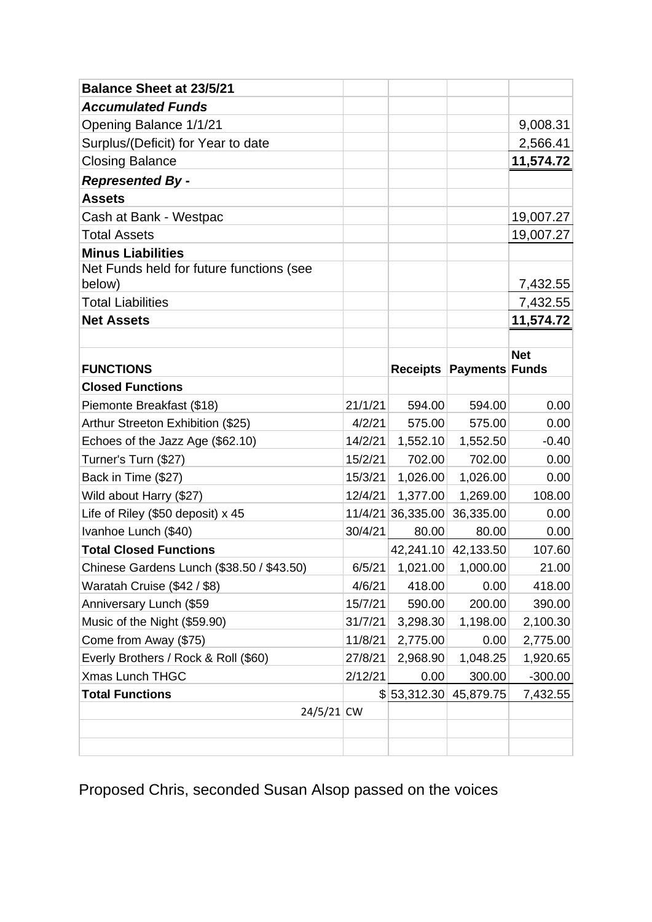| <b>Balance Sheet at 23/5/21</b>                    |         |                   |                            |            |
|----------------------------------------------------|---------|-------------------|----------------------------|------------|
| <b>Accumulated Funds</b>                           |         |                   |                            |            |
| Opening Balance 1/1/21                             |         |                   |                            | 9,008.31   |
| Surplus/(Deficit) for Year to date                 |         |                   |                            | 2,566.41   |
| <b>Closing Balance</b>                             |         |                   |                            | 11,574.72  |
| <b>Represented By -</b>                            |         |                   |                            |            |
| <b>Assets</b>                                      |         |                   |                            |            |
| Cash at Bank - Westpac                             |         |                   |                            | 19,007.27  |
| <b>Total Assets</b>                                |         |                   |                            | 19,007.27  |
| <b>Minus Liabilities</b>                           |         |                   |                            |            |
| Net Funds held for future functions (see<br>below) |         |                   |                            | 7,432.55   |
| <b>Total Liabilities</b>                           |         |                   |                            | 7,432.55   |
| <b>Net Assets</b>                                  |         |                   |                            | 11,574.72  |
|                                                    |         |                   |                            |            |
|                                                    |         |                   |                            | <b>Net</b> |
| <b>FUNCTIONS</b>                                   |         | <b>Receipts</b>   | <b>Payments Funds</b>      |            |
| <b>Closed Functions</b>                            |         |                   |                            |            |
| Piemonte Breakfast (\$18)                          | 21/1/21 | 594.00            | 594.00                     | 0.00       |
| Arthur Streeton Exhibition (\$25)                  | 4/2/21  | 575.00            | 575.00                     | 0.00       |
| Echoes of the Jazz Age (\$62.10)                   | 14/2/21 | 1,552.10          | 1,552.50                   | $-0.40$    |
| Turner's Turn (\$27)                               | 15/2/21 | 702.00            | 702.00                     | 0.00       |
| Back in Time (\$27)                                | 15/3/21 | 1,026.00          | 1,026.00                   | 0.00       |
| Wild about Harry (\$27)                            | 12/4/21 | 1,377.00          | 1,269.00                   | 108.00     |
| Life of Riley (\$50 deposit) x 45                  |         | 11/4/21 36,335.00 | 36,335.00                  | 0.00       |
| Ivanhoe Lunch (\$40)                               | 30/4/21 | 80.00             | 80.00                      | 0.00       |
| <b>Total Closed Functions</b>                      |         |                   | 42,241.10 42,133.50        | 107.60     |
| Chinese Gardens Lunch (\$38.50 / \$43.50)          |         |                   | $6/5/21$ 1,021.00 1,000.00 | 21.00      |
| Waratah Cruise (\$42 / \$8)                        | 4/6/21  | 418.00            | 0.00                       | 418.00     |
| Anniversary Lunch (\$59                            | 15/7/21 | 590.00            | 200.00                     | 390.00     |
| Music of the Night (\$59.90)                       | 31/7/21 | 3,298.30          | 1,198.00                   | 2,100.30   |
| Come from Away (\$75)                              | 11/8/21 | 2,775.00          | 0.00                       | 2,775.00   |
| Everly Brothers / Rock & Roll (\$60)               | 27/8/21 | 2,968.90          | 1,048.25                   | 1,920.65   |
| <b>Xmas Lunch THGC</b>                             | 2/12/21 | 0.00              | 300.00                     | $-300.00$  |
| <b>Total Functions</b>                             |         |                   | $$ 53,312.30 $ 45,879.75   | 7,432.55   |
| $24/5/21$ CW                                       |         |                   |                            |            |
|                                                    |         |                   |                            |            |
|                                                    |         |                   |                            |            |

Proposed Chris, seconded Susan Alsop passed on the voices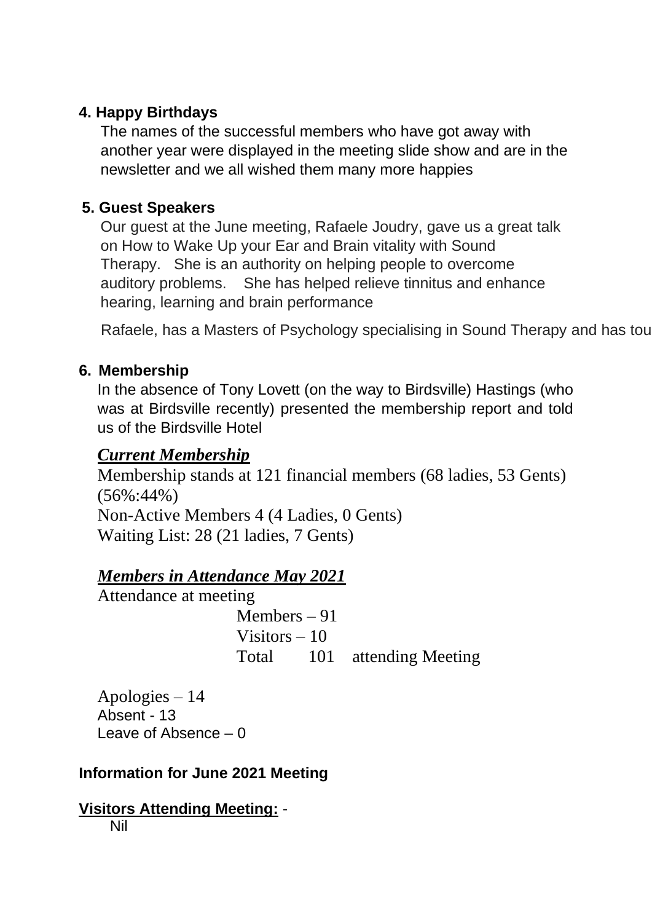# **4. Happy Birthdays**

The names of the successful members who have got away with another year were displayed in the meeting slide show and are in the newsletter and we all wished them many more happies

# **5. Guest Speakers**

Our guest at the June meeting, Rafaele Joudry, gave us a great talk on How to Wake Up your Ear and Brain vitality with Sound Therapy. She is an authority on helping people to overcome auditory problems. She has helped relieve tinnitus and enhance hearing, learning and brain performance

Rafaele, has a Masters of Psychology specialising in Sound Therapy and has toured Australia, Australia, Europe and the USA.

# **6. Membership**

In the absence of Tony Lovett (on the way to Birdsville) Hastings (who was at Birdsville recently) presented the membership report and told us of the Birdsville Hotel

# *Current Membership*

Membership stands at 121 financial members (68 ladies, 53 Gents) (56%:44%) Non-Active Members 4 (4 Ladies, 0 Gents) Waiting List: 28 (21 ladies, 7 Gents)

# *Members in Attendance May 2021*

Attendance at meeting

Members – 91 Visitors – 10 Total 101 attending Meeting

Apologies – 14 Absent - 13 Leave of Absence – 0

# **Information for June 2021 Meeting**

#### **Visitors Attending Meeting:** - Nil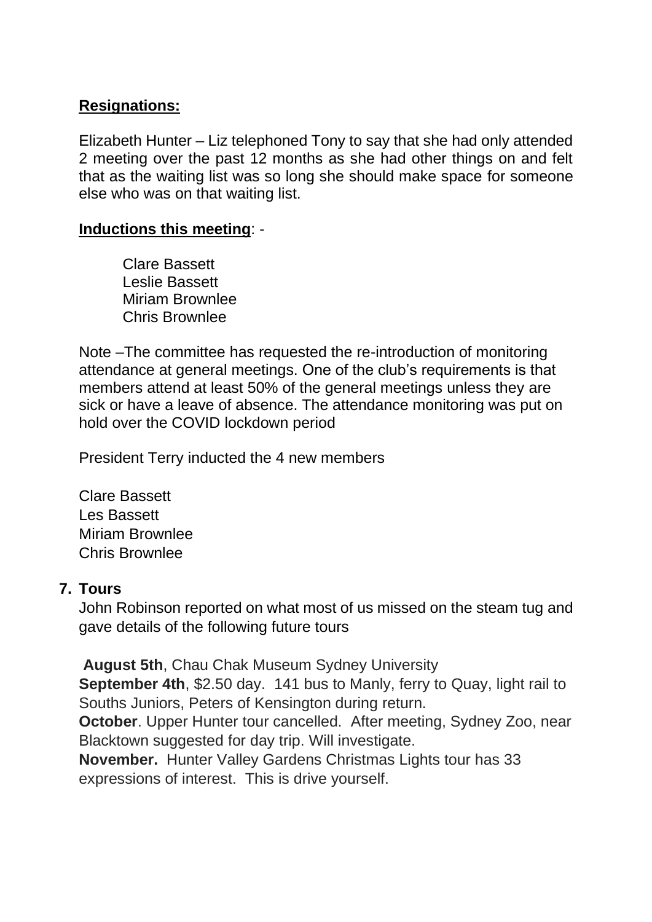### **Resignations:**

Elizabeth Hunter – Liz telephoned Tony to say that she had only attended 2 meeting over the past 12 months as she had other things on and felt that as the waiting list was so long she should make space for someone else who was on that waiting list.

#### **Inductions this meeting**: -

 Clare Bassett Leslie Bassett Miriam Brownlee Chris Brownlee

Note –The committee has requested the re-introduction of monitoring attendance at general meetings. One of the club's requirements is that members attend at least 50% of the general meetings unless they are sick or have a leave of absence. The attendance monitoring was put on hold over the COVID lockdown period

President Terry inducted the 4 new members

Clare Bassett Les Bassett Miriam Brownlee Chris Brownlee

### **7. Tours**

John Robinson reported on what most of us missed on the steam tug and gave details of the following future tours

**August 5th**, Chau Chak Museum Sydney University **September 4th**, \$2.50 day. 141 bus to Manly, ferry to Quay, light rail to Souths Juniors, Peters of Kensington during return. **October**. Upper Hunter tour cancelled. After meeting, Sydney Zoo, near Blacktown suggested for day trip. Will investigate.

**November.** Hunter Valley Gardens Christmas Lights tour has 33 expressions of interest. This is drive yourself.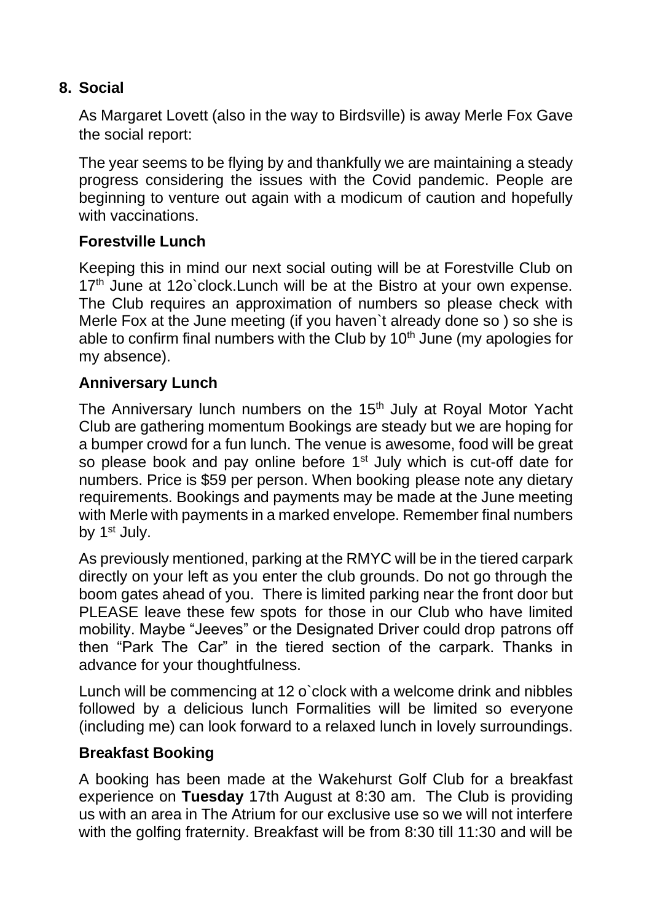## **8. Social**

As Margaret Lovett (also in the way to Birdsville) is away Merle Fox Gave the social report:

The year seems to be flying by and thankfully we are maintaining a steady progress considering the issues with the Covid pandemic. People are beginning to venture out again with a modicum of caution and hopefully with vaccinations.

### **Forestville Lunch**

Keeping this in mind our next social outing will be at Forestville Club on 17<sup>th</sup> June at 12o'clock. Lunch will be at the Bistro at your own expense. The Club requires an approximation of numbers so please check with Merle Fox at the June meeting (if you haven`t already done so ) so she is able to confirm final numbers with the Club by  $10<sup>th</sup>$  June (my apologies for my absence).

### **Anniversary Lunch**

The Anniversary lunch numbers on the 15<sup>th</sup> July at Royal Motor Yacht Club are gathering momentum Bookings are steady but we are hoping for a bumper crowd for a fun lunch. The venue is awesome, food will be great so please book and pay online before 1<sup>st</sup> July which is cut-off date for numbers. Price is \$59 per person. When booking please note any dietary requirements. Bookings and payments may be made at the June meeting with Merle with payments in a marked envelope. Remember final numbers by 1<sup>st</sup> July.

As previously mentioned, parking at the RMYC will be in the tiered carpark directly on your left as you enter the club grounds. Do not go through the boom gates ahead of you. There is limited parking near the front door but PLEASE leave these few spots for those in our Club who have limited mobility. Maybe "Jeeves" or the Designated Driver could drop patrons off then "Park The Car" in the tiered section of the carpark. Thanks in advance for your thoughtfulness.

Lunch will be commencing at 12 o`clock with a welcome drink and nibbles followed by a delicious lunch Formalities will be limited so everyone (including me) can look forward to a relaxed lunch in lovely surroundings.

### **Breakfast Booking**

A booking has been made at the Wakehurst Golf Club for a breakfast experience on **Tuesday** 17th August at 8:30 am. The Club is providing us with an area in The Atrium for our exclusive use so we will not interfere with the golfing fraternity. Breakfast will be from 8:30 till 11:30 and will be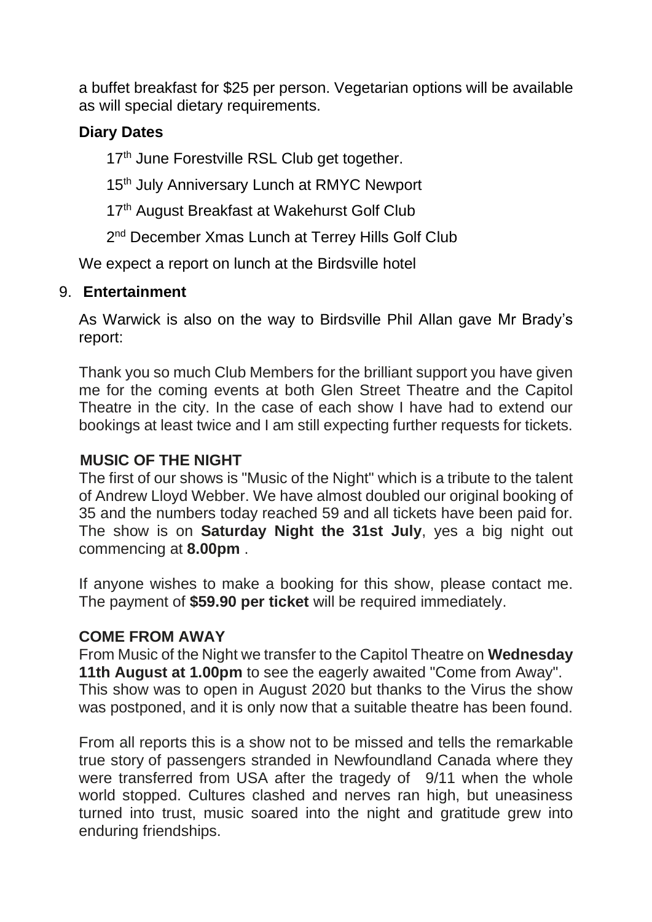a buffet breakfast for \$25 per person. Vegetarian options will be available as will special dietary requirements.

### **Diary Dates**

17<sup>th</sup> June Forestville RSL Club get together.

15<sup>th</sup> July Anniversary Lunch at RMYC Newport

17<sup>th</sup> August Breakfast at Wakehurst Golf Club

2<sup>nd</sup> December Xmas Lunch at Terrey Hills Golf Club

We expect a report on lunch at the Birdsville hotel

### 9. **Entertainment**

As Warwick is also on the way to Birdsville Phil Allan gave Mr Brady's report:

Thank you so much Club Members for the brilliant support you have given me for the coming events at both Glen Street Theatre and the Capitol Theatre in the city. In the case of each show I have had to extend our bookings at least twice and I am still expecting further requests for tickets.

### **MUSIC OF THE NIGHT**

The first of our shows is "Music of the Night" which is a tribute to the talent of Andrew Lloyd Webber. We have almost doubled our original booking of 35 and the numbers today reached 59 and all tickets have been paid for. The show is on **Saturday Night the 31st July**, yes a big night out commencing at **8.00pm** .

If anyone wishes to make a booking for this show, please contact me. The payment of **\$59.90 per ticket** will be required immediately.

### **COME FROM AWAY**

From Music of the Night we transfer to the Capitol Theatre on **Wednesday 11th August at 1.00pm** to see the eagerly awaited "Come from Away". This show was to open in August 2020 but thanks to the Virus the show was postponed, and it is only now that a suitable theatre has been found.

From all reports this is a show not to be missed and tells the remarkable true story of passengers stranded in Newfoundland Canada where they were transferred from USA after the tragedy of 9/11 when the whole world stopped. Cultures clashed and nerves ran high, but uneasiness turned into trust, music soared into the night and gratitude grew into enduring friendships.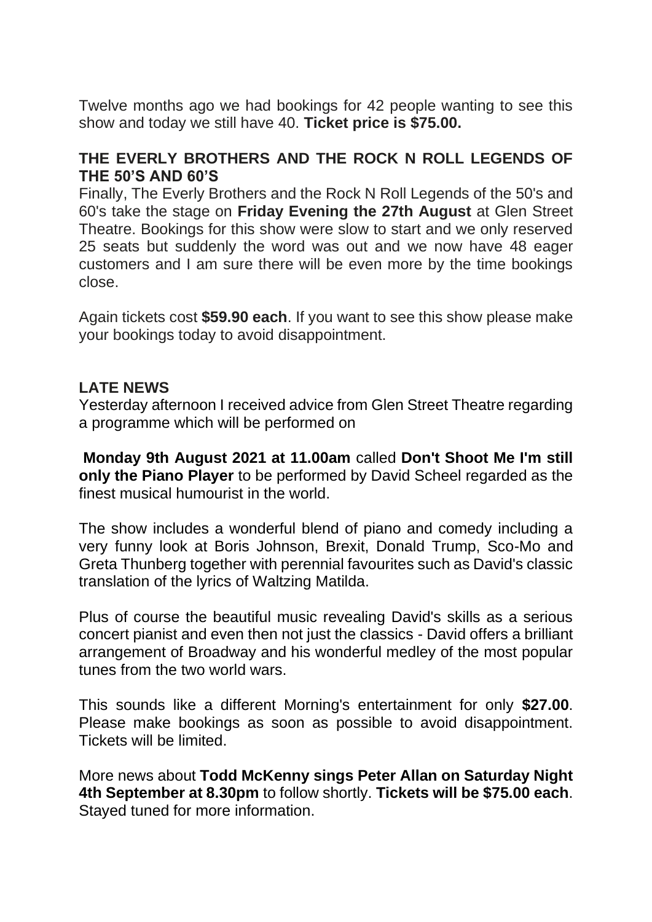Twelve months ago we had bookings for 42 people wanting to see this show and today we still have 40. **Ticket price is \$75.00.** 

### **THE EVERLY BROTHERS AND THE ROCK N ROLL LEGENDS OF THE 50'S AND 60'S**

Finally, The Everly Brothers and the Rock N Roll Legends of the 50's and 60's take the stage on **Friday Evening the 27th August** at Glen Street Theatre. Bookings for this show were slow to start and we only reserved 25 seats but suddenly the word was out and we now have 48 eager customers and I am sure there will be even more by the time bookings close.

Again tickets cost **\$59.90 each**. If you want to see this show please make your bookings today to avoid disappointment.

### **LATE NEWS**

Yesterday afternoon I received advice from Glen Street Theatre regarding a programme which will be performed on

**Monday 9th August 2021 at 11.00am** called **Don't Shoot Me I'm still only the Piano Player** to be performed by David Scheel regarded as the finest musical humourist in the world.

The show includes a wonderful blend of piano and comedy including a very funny look at Boris Johnson, Brexit, Donald Trump, Sco-Mo and Greta Thunberg together with perennial favourites such as David's classic translation of the lyrics of Waltzing Matilda.

Plus of course the beautiful music revealing David's skills as a serious concert pianist and even then not just the classics - David offers a brilliant arrangement of Broadway and his wonderful medley of the most popular tunes from the two world wars.

This sounds like a different Morning's entertainment for only **\$27.00**. Please make bookings as soon as possible to avoid disappointment. Tickets will be limited.

More news about **Todd McKenny sings Peter Allan on Saturday Night 4th September at 8.30pm** to follow shortly. **Tickets will be \$75.00 each**. Stayed tuned for more information.